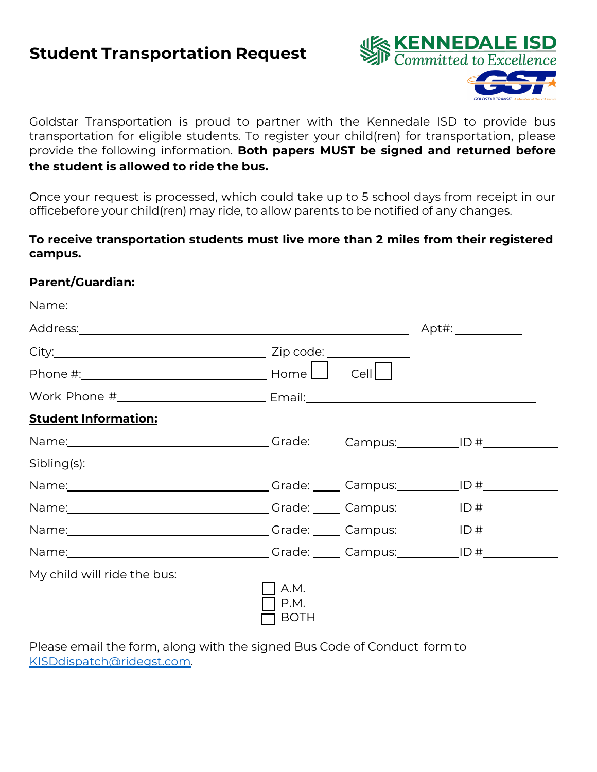# **Student Transportation Request**





Goldstar Transportation is proud to partner with the Kennedale ISD to provide bus transportation for eligible students. To register your child(ren) for transportation, please provide the following information. **Both papers MUST be signed and returned before the student is allowed to ride the bus.**

Once your request is processed, which could take up to 5 school days from receipt in our officebefore your child(ren) may ride, to allow parents to be notified of any changes.

#### **To receive transportation students must live more than 2 miles from their registered campus.**

#### **Parent/Guardian:**

|                                                                                                                                                                                                                                      |                             |      | Apt#: _____________ |  |
|--------------------------------------------------------------------------------------------------------------------------------------------------------------------------------------------------------------------------------------|-----------------------------|------|---------------------|--|
|                                                                                                                                                                                                                                      |                             |      |                     |  |
|                                                                                                                                                                                                                                      |                             | Cell |                     |  |
| Work Phone #__________________________________ Email:___________________________                                                                                                                                                     |                             |      |                     |  |
| <b>Student Information:</b>                                                                                                                                                                                                          |                             |      |                     |  |
|                                                                                                                                                                                                                                      |                             |      |                     |  |
| Sibling(s):                                                                                                                                                                                                                          |                             |      |                     |  |
| Name: 10 No. 2010 10 No. 2010 10:30 Name: 10 No. 2010 10:40 No. 2010 10:40 No. 2010 12:30 No. 2010 12:30 No. 20                                                                                                                      |                             |      |                     |  |
| Name: <u>Name: Name: Name: Name: Name: Name: Name: Name: Name: Name: Name: Name: Name: Name: Name: Name: Name: Name: Name: Name: Name: Name: Name: Name: Name: Name: Name: Name: Name: Name: Name: Name: Name: Name: Name: Name:</u> |                             |      |                     |  |
|                                                                                                                                                                                                                                      |                             |      |                     |  |
| Name: 10 No. 2010 10 No. 2010 10:30 Name: 10 No. 2010 11:30 No. 2010 12:30 No. 2010 12:30 No. 2010 12:30 No. 20                                                                                                                      |                             |      |                     |  |
| My child will ride the bus:                                                                                                                                                                                                          | A.M.<br>P.M.<br><b>BOTH</b> |      |                     |  |

Please email the form, along with the signed Bus Code of Conduct form to KISDdispatch@ridegst.com.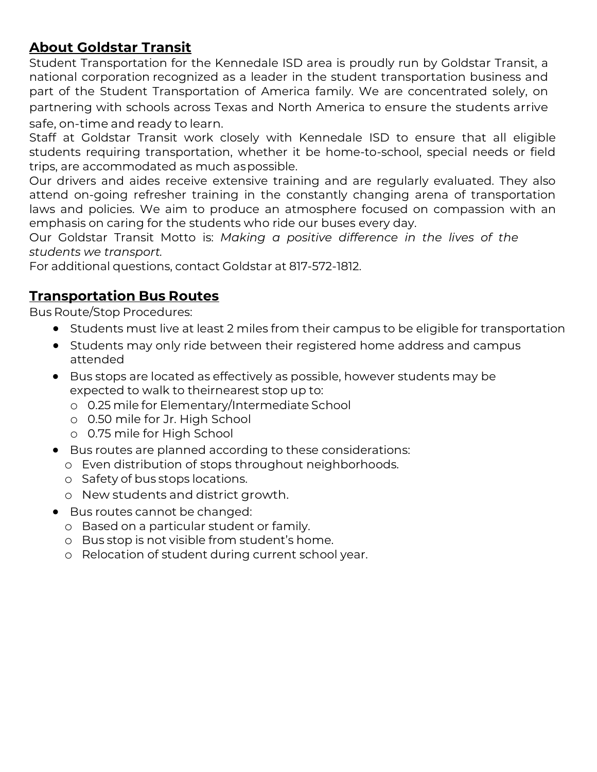## **About Goldstar Transit**

Student Transportation for the Kennedale ISD area is proudly run by Goldstar Transit, a national corporation recognized as a leader in the student transportation business and part of the Student Transportation of America family. We are concentrated solely, on partnering with schools across Texas and North America to ensure the students arrive safe, on-time and ready to learn.

Staff at Goldstar Transit work closely with Kennedale ISD to ensure that all eligible students requiring transportation, whether it be home-to-school, special needs or field trips, are accommodated as much as possible.

Our drivers and aides receive extensive training and are regularly evaluated. They also attend on-going refresher training in the constantly changing arena of transportation laws and policies. We aim to produce an atmosphere focused on compassion with an emphasis on caring for the students who ride our buses every day.

Our Goldstar Transit Motto is: *Making a positive difference in the lives of the students we transport.* 

For additional questions, contact Goldstar at 817-572-1812.

### **Transportation Bus Routes**

Bus Route/Stop Procedures:

- Students must live at least 2 miles from their campus to be eligible for transportation
- Students may only ride between their registered home address and campus attended
- Bus stops are located as effectively as possible, however students may be expected to walk to theirnearest stop up to:
	- o 0.25 mile for Elementary/Intermediate School
	- o 0.50 mile for Jr. High School
	- o 0.75 mile for High School
- Bus routes are planned according to these considerations:
	- o Even distribution of stops throughout neighborhoods.
	- o Safety of bus stops locations.
	- o New students and district growth.
- Bus routes cannot be changed:
	- o Based on a particular student or family.
	- o Bus stop is not visible from student's home.
	- o Relocation of student during current school year.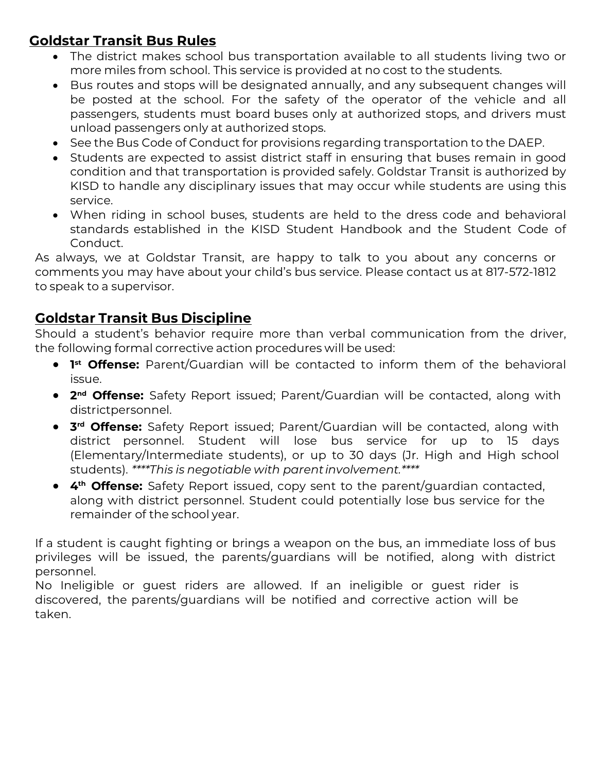### **Goldstar Transit Bus Rules**

- The district makes school bus transportation available to all students living two or more miles from school. This service is provided at no cost to the students.
- Bus routes and stops will be designated annually, and any subsequent changes will be posted at the school. For the safety of the operator of the vehicle and all passengers, students must board buses only at authorized stops, and drivers must unload passengers only at authorized stops.
- See the Bus Code of Conduct for provisions regarding transportation to the DAEP.
- Students are expected to assist district staff in ensuring that buses remain in good condition and that transportation is provided safely. Goldstar Transit is authorized by KISD to handle any disciplinary issues that may occur while students are using this service.
- When riding in school buses, students are held to the dress code and behavioral standards established in the KISD Student Handbook and the Student Code of Conduct.

As always, we at Goldstar Transit, are happy to talk to you about any concerns or comments you may have about your child's bus service. Please contact us at 817-572-1812 to speak to a supervisor.

#### **Goldstar Transit Bus Discipline**

Should a student's behavior require more than verbal communication from the driver, the following formal corrective action procedures will be used:

- **1st Offense:** Parent/Guardian will be contacted to inform them of the behavioral issue.
- **2nd Offense:** Safety Report issued; Parent/Guardian will be contacted, along with districtpersonnel.
- **3rd Offense:** Safety Report issued; Parent/Guardian will be contacted, along with district personnel. Student will lose bus service for up to 15 days (Elementary/Intermediate students), or up to 30 days (Jr. High and High school students). *\*\*\*\*This is negotiable with parent involvement.\*\*\*\**
- **4th Offense:** Safety Report issued, copy sent to the parent/guardian contacted, along with district personnel. Student could potentially lose bus service for the remainder of the school year.

If a student is caught fighting or brings a weapon on the bus, an immediate loss of bus privileges will be issued, the parents/guardians will be notified, along with district personnel.

No Ineligible or guest riders are allowed. If an ineligible or guest rider is discovered, the parents/guardians will be notified and corrective action will be taken.